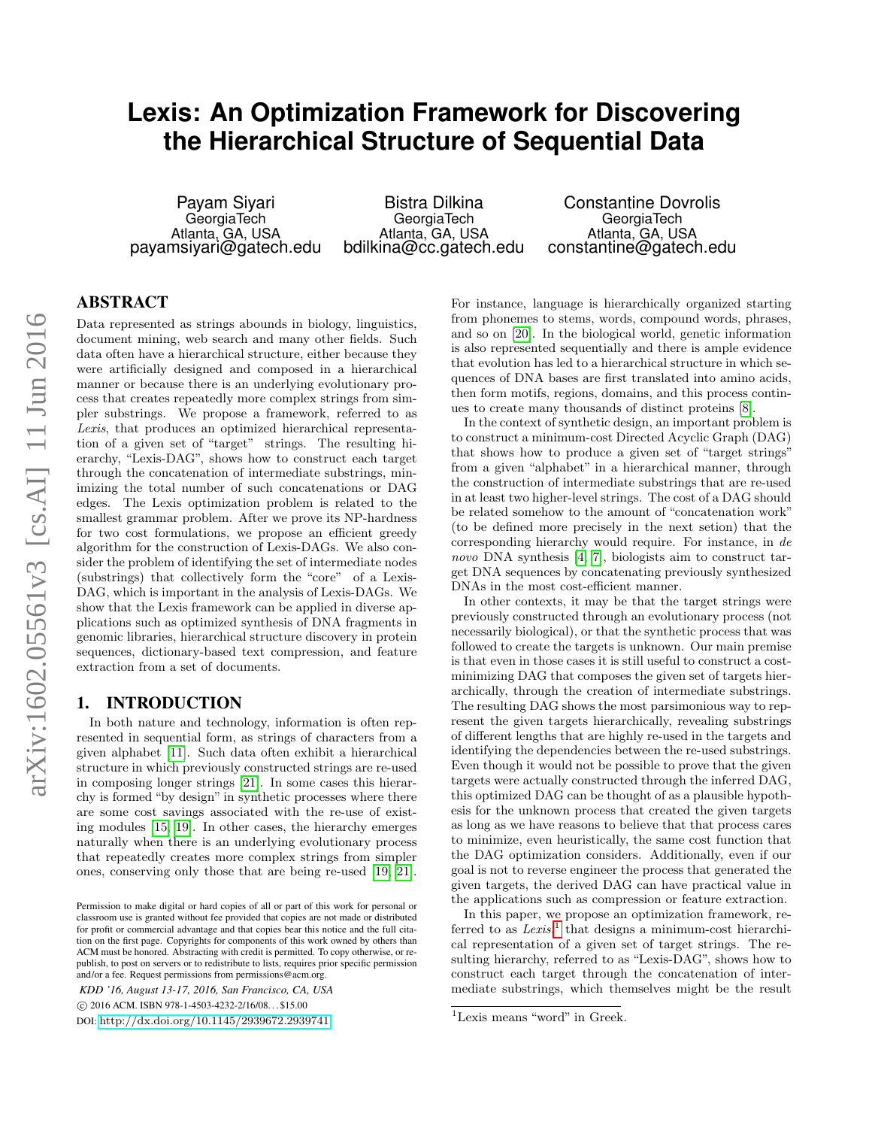# **Lexis: An Optimization Framework for Discovering the Hierarchical Structure of Sequential Data**

Payam Siyari **GeorgiaTech** Atlanta, GA, USA payamsiyari@gatech.edu

Bistra Dilkina **GeorgiaTech** Atlanta, GA, USA bdilkina@cc.gatech.edu

Constantine Dovrolis **GeorgiaTech** Atlanta, GA, USA constantine@gatech.edu

# ABSTRACT

Data represented as strings abounds in biology, linguistics, document mining, web search and many other fields. Such data often have a hierarchical structure, either because they were artificially designed and composed in a hierarchical manner or because there is an underlying evolutionary process that creates repeatedly more complex strings from simpler substrings. We propose a framework, referred to as Lexis, that produces an optimized hierarchical representation of a given set of "target" strings. The resulting hierarchy, "Lexis-DAG", shows how to construct each target through the concatenation of intermediate substrings, minimizing the total number of such concatenations or DAG edges. The Lexis optimization problem is related to the smallest grammar problem. After we prove its NP-hardness for two cost formulations, we propose an efficient greedy algorithm for the construction of Lexis-DAGs. We also consider the problem of identifying the set of intermediate nodes (substrings) that collectively form the "core" of a Lexis-DAG, which is important in the analysis of Lexis-DAGs. We show that the Lexis framework can be applied in diverse applications such as optimized synthesis of DNA fragments in genomic libraries, hierarchical structure discovery in protein sequences, dictionary-based text compression, and feature extraction from a set of documents.

## 1. INTRODUCTION

In both nature and technology, information is often represented in sequential form, as strings of characters from a given alphabet [\[11\]](#page-8-0). Such data often exhibit a hierarchical structure in which previously constructed strings are re-used in composing longer strings [\[21\]](#page-8-1). In some cases this hierarchy is formed "by design" in synthetic processes where there are some cost savings associated with the re-use of existing modules [\[15,](#page-8-2) [19\]](#page-8-3). In other cases, the hierarchy emerges naturally when there is an underlying evolutionary process that repeatedly creates more complex strings from simpler ones, conserving only those that are being re-used [\[19,](#page-8-3) [21\]](#page-8-1).

*KDD '16, August 13-17, 2016, San Francisco, CA, USA* c 2016 ACM. ISBN 978-1-4503-4232-2/16/08. . . \$15.00 DOI: <http://dx.doi.org/10.1145/2939672.2939741>

For instance, language is hierarchically organized starting from phonemes to stems, words, compound words, phrases, and so on [\[20\]](#page-8-4). In the biological world, genetic information is also represented sequentially and there is ample evidence that evolution has led to a hierarchical structure in which sequences of DNA bases are first translated into amino acids, then form motifs, regions, domains, and this process continues to create many thousands of distinct proteins [\[8\]](#page-8-5).

In the context of synthetic design, an important problem is to construct a minimum-cost Directed Acyclic Graph (DAG) that shows how to produce a given set of "target strings" from a given "alphabet" in a hierarchical manner, through the construction of intermediate substrings that are re-used in at least two higher-level strings. The cost of a DAG should be related somehow to the amount of "concatenation work" (to be defined more precisely in the next setion) that the corresponding hierarchy would require. For instance, in de novo DNA synthesis [\[4,](#page-8-6) [7\]](#page-8-7), biologists aim to construct target DNA sequences by concatenating previously synthesized DNAs in the most cost-efficient manner.

In other contexts, it may be that the target strings were previously constructed through an evolutionary process (not necessarily biological), or that the synthetic process that was followed to create the targets is unknown. Our main premise is that even in those cases it is still useful to construct a costminimizing DAG that composes the given set of targets hierarchically, through the creation of intermediate substrings. The resulting DAG shows the most parsimonious way to represent the given targets hierarchically, revealing substrings of different lengths that are highly re-used in the targets and identifying the dependencies between the re-used substrings. Even though it would not be possible to prove that the given targets were actually constructed through the inferred DAG, this optimized DAG can be thought of as a plausible hypothesis for the unknown process that created the given targets as long as we have reasons to believe that that process cares to minimize, even heuristically, the same cost function that the DAG optimization considers. Additionally, even if our goal is not to reverse engineer the process that generated the given targets, the derived DAG can have practical value in the applications such as compression or feature extraction.

In this paper, we propose an optimization framework, referred to as  $Lexis$ ,<sup>[1](#page-0-0)</sup> that designs a minimum-cost hierarchical representation of a given set of target strings. The resulting hierarchy, referred to as "Lexis-DAG", shows how to construct each target through the concatenation of intermediate substrings, which themselves might be the result

Permission to make digital or hard copies of all or part of this work for personal or classroom use is granted without fee provided that copies are not made or distributed for profit or commercial advantage and that copies bear this notice and the full citation on the first page. Copyrights for components of this work owned by others than ACM must be honored. Abstracting with credit is permitted. To copy otherwise, or republish, to post on servers or to redistribute to lists, requires prior specific permission and/or a fee. Request permissions from permissions@acm.org.

<span id="page-0-0"></span><sup>1</sup>Lexis means "word" in Greek.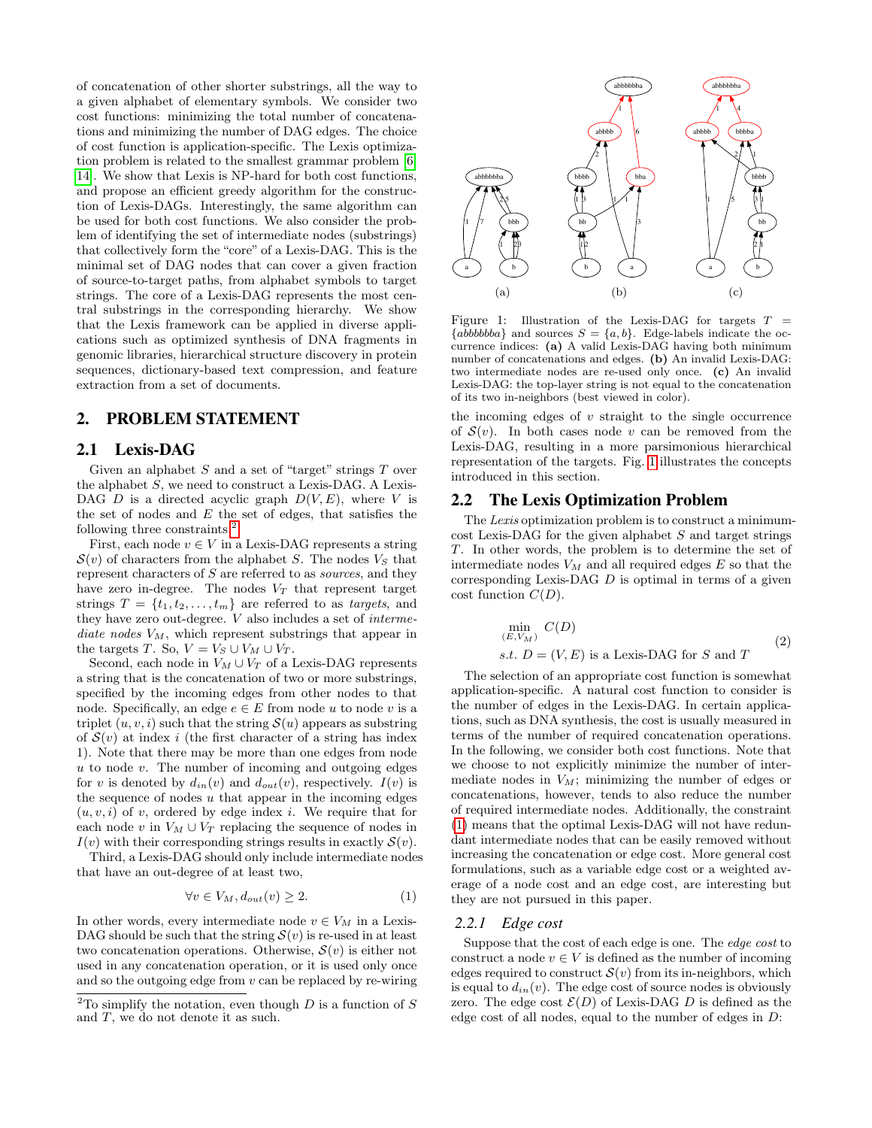of concatenation of other shorter substrings, all the way to a given alphabet of elementary symbols. We consider two cost functions: minimizing the total number of concatenations and minimizing the number of DAG edges. The choice of cost function is application-specific. The Lexis optimization problem is related to the smallest grammar problem [\[6,](#page-8-8) [14\]](#page-8-9). We show that Lexis is NP-hard for both cost functions, and propose an efficient greedy algorithm for the construction of Lexis-DAGs. Interestingly, the same algorithm can be used for both cost functions. We also consider the problem of identifying the set of intermediate nodes (substrings) that collectively form the "core" of a Lexis-DAG. This is the minimal set of DAG nodes that can cover a given fraction of source-to-target paths, from alphabet symbols to target strings. The core of a Lexis-DAG represents the most central substrings in the corresponding hierarchy. We show that the Lexis framework can be applied in diverse applications such as optimized synthesis of DNA fragments in genomic libraries, hierarchical structure discovery in protein sequences, dictionary-based text compression, and feature extraction from a set of documents.

#### 2. PROBLEM STATEMENT

#### 2.1 Lexis-DAG

Given an alphabet  $S$  and a set of "target" strings  $T$  over the alphabet  $S$ , we need to construct a Lexis-DAG. A Lexis-DAG D is a directed acyclic graph  $D(V, E)$ , where V is the set of nodes and  $E$  the set of edges, that satisfies the following three constraints.<sup>[2](#page-1-0)</sup>

First, each node  $v \in V$  in a Lexis-DAG represents a string  $S(v)$  of characters from the alphabet S. The nodes  $V<sub>S</sub>$  that represent characters of S are referred to as *sources*, and they have zero in-degree. The nodes  $V_T$  that represent target strings  $T = \{t_1, t_2, \ldots, t_m\}$  are referred to as targets, and they have zero out-degree.  $V$  also includes a set of  $interme$ diate nodes  $V_M$ , which represent substrings that appear in the targets T. So,  $V = V_S \cup V_M \cup V_T$ .

Second, each node in  $V_M \cup V_T$  of a Lexis-DAG represents a string that is the concatenation of two or more substrings, specified by the incoming edges from other nodes to that node. Specifically, an edge  $e \in E$  from node u to node v is a triplet  $(u, v, i)$  such that the string  $\mathcal{S}(u)$  appears as substring of  $S(v)$  at index i (the first character of a string has index 1). Note that there may be more than one edges from node  $u$  to node  $v$ . The number of incoming and outgoing edges for v is denoted by  $d_{in}(v)$  and  $d_{out}(v)$ , respectively.  $I(v)$  is the sequence of nodes  $u$  that appear in the incoming edges  $(u, v, i)$  of v, ordered by edge index i. We require that for each node v in  $V_M \cup V_T$  replacing the sequence of nodes in  $I(v)$  with their corresponding strings results in exactly  $S(v)$ .

Third, a Lexis-DAG should only include intermediate nodes that have an out-degree of at least two,

<span id="page-1-2"></span>
$$
\forall v \in V_M, d_{out}(v) \ge 2. \tag{1}
$$

In other words, every intermediate node  $v \in V_M$  in a Lexis-DAG should be such that the string  $S(v)$  is re-used in at least two concatenation operations. Otherwise,  $S(v)$  is either not used in any concatenation operation, or it is used only once and so the outgoing edge from  $v$  can be replaced by re-wiring

<span id="page-1-1"></span>

Figure 1: Illustration of the Lexis-DAG for targets  $T =$  ${abbbbba}$  and sources  $S = \{a, b\}$ . Edge-labels indicate the occurrence indices: (a) A valid Lexis-DAG having both minimum number of concatenations and edges. (b) An invalid Lexis-DAG: two intermediate nodes are re-used only once. (c) An invalid Lexis-DAG: the top-layer string is not equal to the concatenation of its two in-neighbors (best viewed in color).

the incoming edges of  $v$  straight to the single occurrence of  $S(v)$ . In both cases node v can be removed from the Lexis-DAG, resulting in a more parsimonious hierarchical representation of the targets. Fig. [1](#page-1-1) illustrates the concepts introduced in this section.

#### 2.2 The Lexis Optimization Problem

The Lexis optimization problem is to construct a minimum- $\cos t$  Lexis-DAG for the given alphabet S and target strings T. In other words, the problem is to determine the set of intermediate nodes  $V_M$  and all required edges  $E$  so that the corresponding Lexis-DAG D is optimal in terms of a given cost function  $C(D)$ .

<span id="page-1-3"></span>
$$
\min_{(E,V_M)} C(D)
$$
  
s.t.  $D = (V, E)$  is a Lexis- DAG for S and T (2)

The selection of an appropriate cost function is somewhat application-specific. A natural cost function to consider is the number of edges in the Lexis-DAG. In certain applications, such as DNA synthesis, the cost is usually measured in terms of the number of required concatenation operations. In the following, we consider both cost functions. Note that we choose to not explicitly minimize the number of intermediate nodes in  $V_M$ ; minimizing the number of edges or concatenations, however, tends to also reduce the number of required intermediate nodes. Additionally, the constraint [\(1\)](#page-1-2) means that the optimal Lexis-DAG will not have redundant intermediate nodes that can be easily removed without increasing the concatenation or edge cost. More general cost formulations, such as a variable edge cost or a weighted average of a node cost and an edge cost, are interesting but they are not pursued in this paper.

#### *2.2.1 Edge cost*

Suppose that the cost of each edge is one. The *edge cost* to construct a node  $v \in V$  is defined as the number of incoming edges required to construct  $\mathcal{S}(v)$  from its in-neighbors, which is equal to  $d_{in}(v)$ . The edge cost of source nodes is obviously zero. The edge cost  $\mathcal{E}(D)$  of Lexis-DAG D is defined as the edge cost of all nodes, equal to the number of edges in D:

<span id="page-1-0"></span><sup>&</sup>lt;sup>2</sup>To simplify the notation, even though  $D$  is a function of  $S$ and T, we do not denote it as such.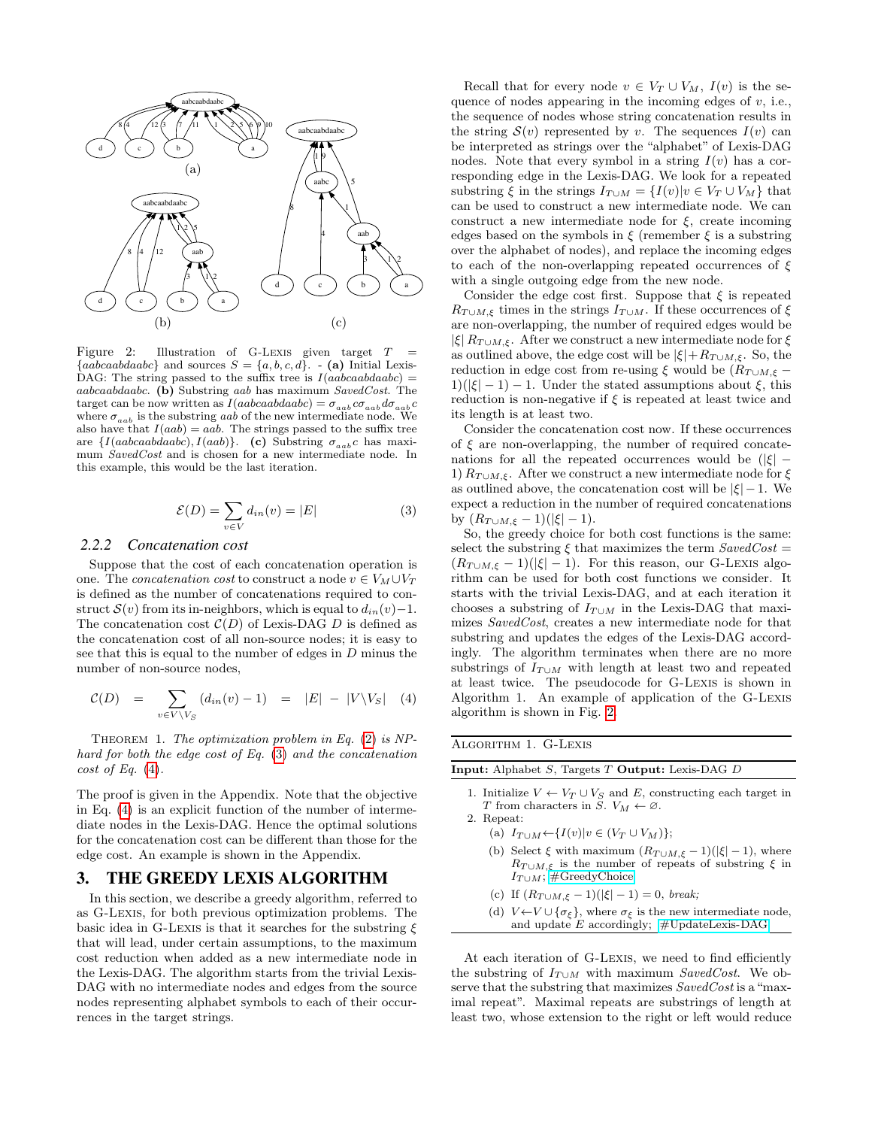<span id="page-2-2"></span>

Figure 2: Illustration of G-LEXIS given target  $T$  ${aabcaa bdaabc}$  and sources  $S = {a, b, c, d}$ . - (a) Initial Lexis-DAG: The string passed to the suffix tree is  $I(aabcabdaabc)$  = aabcaabdaabc. (b) Substring aab has maximum SavedCost. The target can be now written as  $I(aabcabdaabc) = \sigma_{aab}c\sigma_{aab}d\sigma_{aab}c$ where  $\sigma_{aab}$  is the substring aab of the new intermediate node. We also have that  $I(aab) = aab$ . The strings passed to the suffix tree are  $\{I(aabcaabdaabc), I(aab)\}.$  (c) Substring  $\sigma_{aab}c$  has maximum SavedCost and is chosen for a new intermediate node. In this example, this would be the last iteration.

<span id="page-2-0"></span>
$$
\mathcal{E}(D) = \sum_{v \in V} d_{in}(v) = |E| \tag{3}
$$

#### *2.2.2 Concatenation cost*

Suppose that the cost of each concatenation operation is one. The *concatenation cost* to construct a node  $v \in V_M \cup V_T$ is defined as the number of concatenations required to construct  $S(v)$  from its in-neighbors, which is equal to  $d_{in}(v)-1$ . The concatenation cost  $\mathcal{C}(D)$  of Lexis-DAG D is defined as the concatenation cost of all non-source nodes; it is easy to see that this is equal to the number of edges in  $D$  minus the number of non-source nodes,

$$
\mathcal{C}(D) = \sum_{v \in V \setminus V_S} (d_{in}(v) - 1) = |E| - |V \setminus V_S| \quad (4)
$$

THEOREM 1. The optimization problem in Eq.  $(2)$  is NPhard for both the edge cost of Eq. [\(3\)](#page-2-0) and the concatenation cost of Eq.  $(4)$ .

The proof is given in the Appendix. Note that the objective in Eq. [\(4\)](#page-2-1) is an explicit function of the number of intermediate nodes in the Lexis-DAG. Hence the optimal solutions for the concatenation cost can be different than those for the edge cost. An example is shown in the Appendix.

#### 3. THE GREEDY LEXIS ALGORITHM

In this section, we describe a greedy algorithm, referred to as G-Lexis, for both previous optimization problems. The basic idea in G-LEXIS is that it searches for the substring  $\xi$ that will lead, under certain assumptions, to the maximum cost reduction when added as a new intermediate node in the Lexis-DAG. The algorithm starts from the trivial Lexis-DAG with no intermediate nodes and edges from the source nodes representing alphabet symbols to each of their occurrences in the target strings.

Recall that for every node  $v \in V_T \cup V_M$ ,  $I(v)$  is the sequence of nodes appearing in the incoming edges of  $v$ , i.e., the sequence of nodes whose string concatenation results in the string  $S(v)$  represented by v. The sequences  $I(v)$  can be interpreted as strings over the "alphabet" of Lexis-DAG nodes. Note that every symbol in a string  $I(v)$  has a corresponding edge in the Lexis-DAG. We look for a repeated substring  $\xi$  in the strings  $I_{T \cup M} = \{I(v)|v \in V_T \cup V_M\}$  that can be used to construct a new intermediate node. We can construct a new intermediate node for  $\xi$ , create incoming edges based on the symbols in  $\xi$  (remember  $\xi$  is a substring over the alphabet of nodes), and replace the incoming edges to each of the non-overlapping repeated occurrences of  $\xi$ with a single outgoing edge from the new node.

Consider the edge cost first. Suppose that  $\xi$  is repeated  $R_{T \cup M,\xi}$  times in the strings  $I_{T \cup M}$ . If these occurrences of  $\xi$ are non-overlapping, the number of required edges would be  $|\xi| R_{T \cup M, \xi}$ . After we construct a new intermediate node for  $\xi$ as outlined above, the edge cost will be  $|\xi|+R_{T\cup M,\xi}$ . So, the reduction in edge cost from re-using  $\xi$  would be  $(R_{T \cup M,\xi}$  –  $1)(|\xi| - 1) - 1$ . Under the stated assumptions about  $\xi$ , this reduction is non-negative if  $\xi$  is repeated at least twice and its length is at least two.

Consider the concatenation cost now. If these occurrences of  $\xi$  are non-overlapping, the number of required concatenations for all the repeated occurrences would be  $(|\xi| -$ 1)  $R_{T \cup M, \xi}$ . After we construct a new intermediate node for  $\xi$ as outlined above, the concatenation cost will be  $|\xi| - 1$ . We expect a reduction in the number of required concatenations by  $(R_{T \cup M,\xi} - 1)(|\xi| - 1)$ .

So, the greedy choice for both cost functions is the same: select the substring  $\xi$  that maximizes the term  $SavedCost =$  $(R_{T\cup M,\xi}-1)(|\xi|-1)$ . For this reason, our G-LEXIS algorithm can be used for both cost functions we consider. It starts with the trivial Lexis-DAG, and at each iteration it chooses a substring of  $I_{T\cup M}$  in the Lexis-DAG that maximizes SavedCost, creates a new intermediate node for that substring and updates the edges of the Lexis-DAG accordingly. The algorithm terminates when there are no more substrings of  $I_{T \cup M}$  with length at least two and repeated at least twice. The pseudocode for G-Lexis is shown in Algorithm 1. An example of application of the G-Lexis algorithm is shown in Fig. [2.](#page-2-2)

<span id="page-2-1"></span>Algorithm 1. G-Lexis

| <b>Input:</b> Alphabet S, Targets T <b>Output:</b> Lexis-DAG D                                                                       |
|--------------------------------------------------------------------------------------------------------------------------------------|
| 1. Initialize $V \leftarrow V_T \cup V_S$ and E, constructing each target in<br>T from characters in S. $V_M \leftarrow \emptyset$ . |
| 2. Repeat:                                                                                                                           |
| (a) $I_{T \cup M} \leftarrow \{I(v) v \in (V_T \cup V_M)\};$                                                                         |
| (b) Select $\xi$ with maximum $(R_{T \cup M,\varepsilon} - 1)( \xi  - 1)$ , where                                                    |
| $R_{T \cup M,\xi}$ is the number of repeats of substring $\xi$ in                                                                    |
| $I_{T\cup M}$ ; #GreedyChoice                                                                                                        |

- (c) If  $(R_{T \cup M,\xi} 1)(|\xi| 1) = 0$ , break;
- (d)  $V \leftarrow V \cup {\sigma_{\xi}}$ , where  $\sigma_{\xi}$  is the new intermediate node, and update  $E$  accordingly;  $\#$ UpdateLexis-DAG

At each iteration of G-Lexis, we need to find efficiently the substring of  $I_{T\cup M}$  with maximum SavedCost. We observe that the substring that maximizes  $SavedCost$  is a "maximal repeat". Maximal repeats are substrings of length at least two, whose extension to the right or left would reduce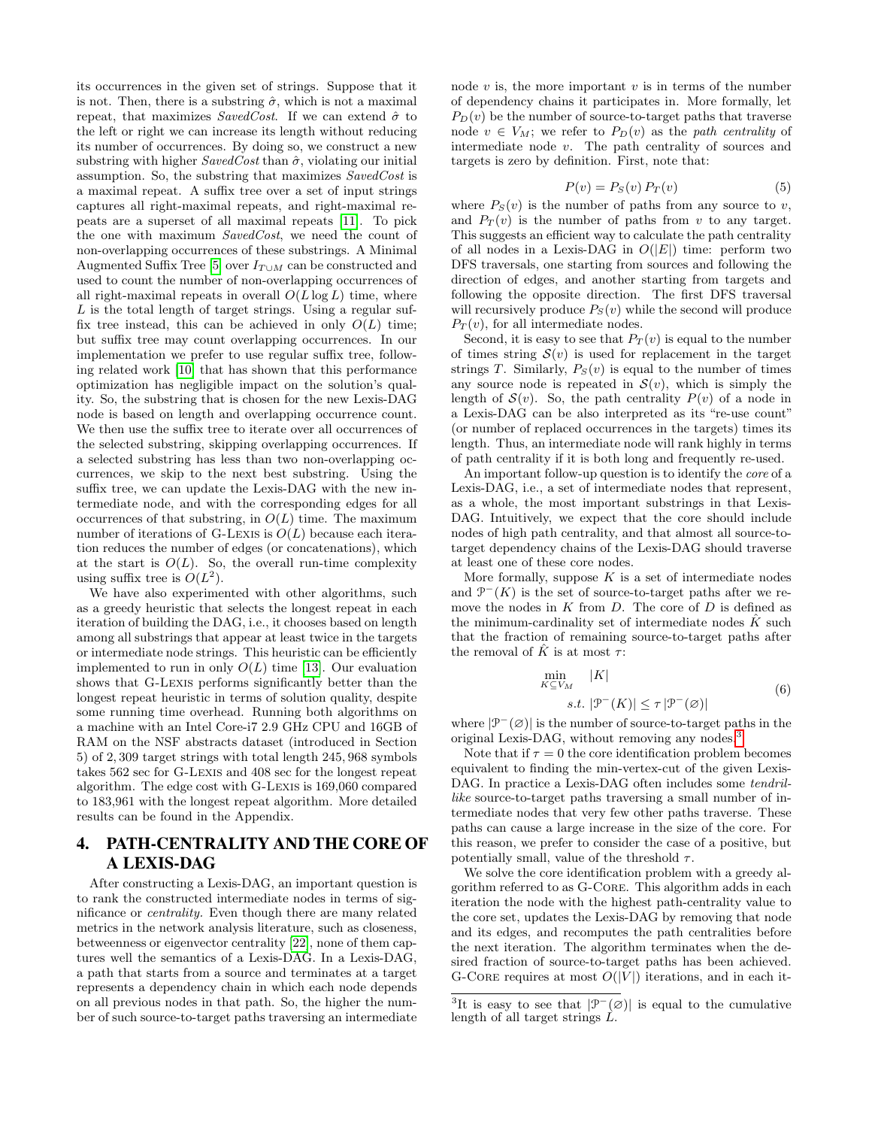its occurrences in the given set of strings. Suppose that it is not. Then, there is a substring  $\hat{\sigma}$ , which is not a maximal repeat, that maximizes SavedCost. If we can extend  $\hat{\sigma}$  to the left or right we can increase its length without reducing its number of occurrences. By doing so, we construct a new substring with higher  $SavedCost$  than  $\hat{\sigma}$ , violating our initial assumption. So, the substring that maximizes SavedCost is a maximal repeat. A suffix tree over a set of input strings captures all right-maximal repeats, and right-maximal repeats are a superset of all maximal repeats [\[11\]](#page-8-0). To pick the one with maximum SavedCost, we need the count of non-overlapping occurrences of these substrings. A Minimal Augmented Suffix Tree [\[5\]](#page-8-10) over  $I_{T \cup M}$  can be constructed and used to count the number of non-overlapping occurrences of all right-maximal repeats in overall  $O(L \log L)$  time, where  $L$  is the total length of target strings. Using a regular suffix tree instead, this can be achieved in only  $O(L)$  time; but suffix tree may count overlapping occurrences. In our implementation we prefer to use regular suffix tree, following related work [\[10\]](#page-8-11) that has shown that this performance optimization has negligible impact on the solution's quality. So, the substring that is chosen for the new Lexis-DAG node is based on length and overlapping occurrence count. We then use the suffix tree to iterate over all occurrences of the selected substring, skipping overlapping occurrences. If a selected substring has less than two non-overlapping occurrences, we skip to the next best substring. Using the suffix tree, we can update the Lexis-DAG with the new intermediate node, and with the corresponding edges for all occurrences of that substring, in  $O(L)$  time. The maximum number of iterations of G-Lexis is  $O(L)$  because each iteration reduces the number of edges (or concatenations), which at the start is  $O(L)$ . So, the overall run-time complexity using suffix tree is  $O(L^2)$ .

We have also experimented with other algorithms, such as a greedy heuristic that selects the longest repeat in each iteration of building the DAG, i.e., it chooses based on length among all substrings that appear at least twice in the targets or intermediate node strings. This heuristic can be efficiently implemented to run in only  $O(L)$  time [\[13\]](#page-8-12). Our evaluation shows that G-Lexis performs significantly better than the longest repeat heuristic in terms of solution quality, despite some running time overhead. Running both algorithms on a machine with an Intel Core-i7 2.9 GHz CPU and 16GB of RAM on the NSF abstracts dataset (introduced in Section 5) of 2, 309 target strings with total length 245, 968 symbols takes 562 sec for G-Lexis and 408 sec for the longest repeat algorithm. The edge cost with G-Lexis is 169,060 compared to 183,961 with the longest repeat algorithm. More detailed results can be found in the Appendix.

# 4. PATH-CENTRALITY AND THE CORE OF A LEXIS-DAG

After constructing a Lexis-DAG, an important question is to rank the constructed intermediate nodes in terms of significance or centrality. Even though there are many related metrics in the network analysis literature, such as closeness, betweenness or eigenvector centrality [\[22\]](#page-8-13), none of them captures well the semantics of a Lexis-DAG. In a Lexis-DAG, a path that starts from a source and terminates at a target represents a dependency chain in which each node depends on all previous nodes in that path. So, the higher the number of such source-to-target paths traversing an intermediate node  $v$  is, the more important  $v$  is in terms of the number of dependency chains it participates in. More formally, let  $P_D(v)$  be the number of source-to-target paths that traverse node  $v \in V_M$ ; we refer to  $P_D(v)$  as the path centrality of intermediate node v. The path centrality of sources and targets is zero by definition. First, note that:

$$
P(v) = P_S(v) P_T(v)
$$
\n<sup>(5)</sup>

where  $P_S(v)$  is the number of paths from any source to v, and  $P_T(v)$  is the number of paths from v to any target. This suggests an efficient way to calculate the path centrality of all nodes in a Lexis-DAG in  $O(|E|)$  time: perform two DFS traversals, one starting from sources and following the direction of edges, and another starting from targets and following the opposite direction. The first DFS traversal will recursively produce  $P_S(v)$  while the second will produce  $P_T(v)$ , for all intermediate nodes.

Second, it is easy to see that  $P_T(v)$  is equal to the number of times string  $S(v)$  is used for replacement in the target strings T. Similarly,  $P_S(v)$  is equal to the number of times any source node is repeated in  $S(v)$ , which is simply the length of  $S(v)$ . So, the path centrality  $P(v)$  of a node in a Lexis-DAG can be also interpreted as its "re-use count" (or number of replaced occurrences in the targets) times its length. Thus, an intermediate node will rank highly in terms of path centrality if it is both long and frequently re-used.

An important follow-up question is to identify the core of a Lexis-DAG, i.e., a set of intermediate nodes that represent, as a whole, the most important substrings in that Lexis-DAG. Intuitively, we expect that the core should include nodes of high path centrality, and that almost all source-totarget dependency chains of the Lexis-DAG should traverse at least one of these core nodes.

More formally, suppose  $K$  is a set of intermediate nodes and  $\mathcal{P}^{-}(K)$  is the set of source-to-target paths after we remove the nodes in  $K$  from  $D$ . The core of  $D$  is defined as the minimum-cardinality set of intermediate nodes  $K$  such that the fraction of remaining source-to-target paths after the removal of  $\hat{K}$  is at most  $\tau$ :

$$
\min_{K \subseteq V_M} |K|
$$
  
s.t.  $|\mathcal{P}^-(K)| \le \tau |\mathcal{P}^-(\varnothing)|$  (6)

where  $|\mathcal{P}^{-}(\emptyset)|$  is the number of source-to-target paths in the original Lexis-DAG, without removing any nodes.[3](#page-3-0)

Note that if  $\tau = 0$  the core identification problem becomes equivalent to finding the min-vertex-cut of the given Lexis-DAG. In practice a Lexis-DAG often includes some tendrillike source-to-target paths traversing a small number of intermediate nodes that very few other paths traverse. These paths can cause a large increase in the size of the core. For this reason, we prefer to consider the case of a positive, but potentially small, value of the threshold  $\tau$ .

We solve the core identification problem with a greedy algorithm referred to as G-Core. This algorithm adds in each iteration the node with the highest path-centrality value to the core set, updates the Lexis-DAG by removing that node and its edges, and recomputes the path centralities before the next iteration. The algorithm terminates when the desired fraction of source-to-target paths has been achieved. G-CORE requires at most  $O(|V|)$  iterations, and in each it-

<span id="page-3-0"></span><sup>&</sup>lt;sup>3</sup>It is easy to see that  $|\mathcal{P}^{-}(\varnothing)|$  is equal to the cumulative length of all target strings L.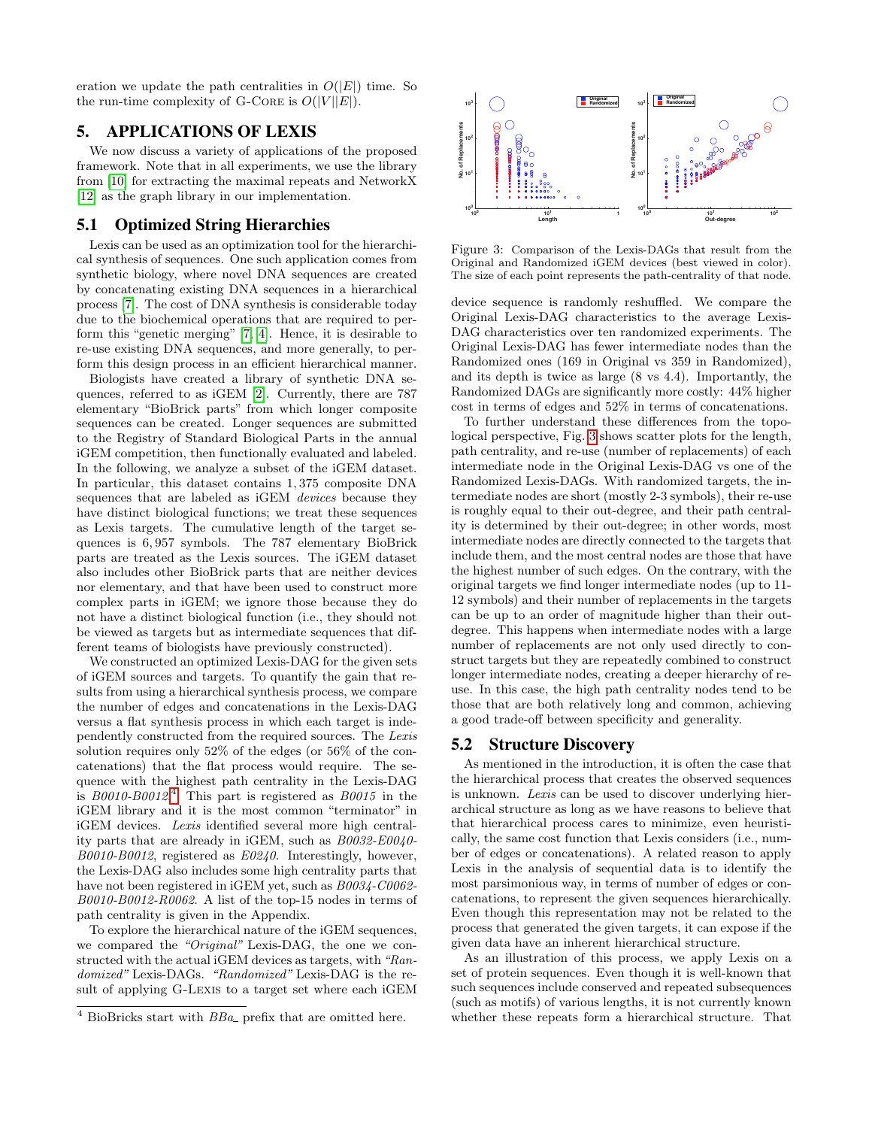eration we update the path centralities in  $O(|E|)$  time. So the run-time complexity of G-CORE is  $O(|V||E|)$ .

## 5. APPLICATIONS OF LEXIS

We now discuss a variety of applications of the proposed framework. Note that in all experiments, we use the library from [\[10\]](#page-8-11) for extracting the maximal repeats and NetworkX [\[12\]](#page-8-14) as the graph library in our implementation.

#### 5.1 Optimized String Hierarchies

Lexis can be used as an optimization tool for the hierarchical synthesis of sequences. One such application comes from synthetic biology, where novel DNA sequences are created by concatenating existing DNA sequences in a hierarchical process [\[7\]](#page-8-7). The cost of DNA synthesis is considerable today due to the biochemical operations that are required to perform this "genetic merging" [\[7,](#page-8-7) [4\]](#page-8-6). Hence, it is desirable to re-use existing DNA sequences, and more generally, to perform this design process in an efficient hierarchical manner.

Biologists have created a library of synthetic DNA sequences, referred to as iGEM [\[2\]](#page-8-15). Currently, there are 787 elementary "BioBrick parts" from which longer composite sequences can be created. Longer sequences are submitted to the Registry of Standard Biological Parts in the annual iGEM competition, then functionally evaluated and labeled. In the following, we analyze a subset of the iGEM dataset. In particular, this dataset contains 1, 375 composite DNA sequences that are labeled as iGEM devices because they have distinct biological functions; we treat these sequences as Lexis targets. The cumulative length of the target sequences is 6, 957 symbols. The 787 elementary BioBrick parts are treated as the Lexis sources. The iGEM dataset also includes other BioBrick parts that are neither devices nor elementary, and that have been used to construct more complex parts in iGEM; we ignore those because they do not have a distinct biological function (i.e., they should not be viewed as targets but as intermediate sequences that different teams of biologists have previously constructed).

We constructed an optimized Lexis-DAG for the given sets of iGEM sources and targets. To quantify the gain that results from using a hierarchical synthesis process, we compare the number of edges and concatenations in the Lexis-DAG versus a flat synthesis process in which each target is independently constructed from the required sources. The Lexis solution requires only 52% of the edges (or 56% of the concatenations) that the flat process would require. The sequence with the highest path centrality in the Lexis-DAG is  $B0010-B0012<sup>4</sup>$  $B0010-B0012<sup>4</sup>$  $B0010-B0012<sup>4</sup>$  This part is registered as  $B0015$  in the iGEM library and it is the most common "terminator" in iGEM devices. Lexis identified several more high centrality parts that are already in iGEM, such as B0032-E0040- B0010-B0012, registered as E0240. Interestingly, however, the Lexis-DAG also includes some high centrality parts that have not been registered in iGEM yet, such as B0034-C0062- B0010-B0012-R0062. A list of the top-15 nodes in terms of path centrality is given in the Appendix.

To explore the hierarchical nature of the iGEM sequences, we compared the "Original" Lexis-DAG, the one we constructed with the actual iGEM devices as targets, with "Randomized" Lexis-DAGs. "Randomized" Lexis-DAG is the result of applying G-Lexis to a target set where each iGEM

<span id="page-4-1"></span>

Figure 3: Comparison of the Lexis-DAGs that result from the Original and Randomized iGEM devices (best viewed in color). The size of each point represents the path-centrality of that node.

device sequence is randomly reshuffled. We compare the Original Lexis-DAG characteristics to the average Lexis-DAG characteristics over ten randomized experiments. The Original Lexis-DAG has fewer intermediate nodes than the Randomized ones (169 in Original vs 359 in Randomized), and its depth is twice as large (8 vs 4.4). Importantly, the Randomized DAGs are significantly more costly: 44% higher cost in terms of edges and 52% in terms of concatenations.

To further understand these differences from the topological perspective, Fig. [3](#page-4-1) shows scatter plots for the length, path centrality, and re-use (number of replacements) of each intermediate node in the Original Lexis-DAG vs one of the Randomized Lexis-DAGs. With randomized targets, the intermediate nodes are short (mostly 2-3 symbols), their re-use is roughly equal to their out-degree, and their path centrality is determined by their out-degree; in other words, most intermediate nodes are directly connected to the targets that include them, and the most central nodes are those that have the highest number of such edges. On the contrary, with the original targets we find longer intermediate nodes (up to 11- 12 symbols) and their number of replacements in the targets can be up to an order of magnitude higher than their outdegree. This happens when intermediate nodes with a large number of replacements are not only used directly to construct targets but they are repeatedly combined to construct longer intermediate nodes, creating a deeper hierarchy of reuse. In this case, the high path centrality nodes tend to be those that are both relatively long and common, achieving a good trade-off between specificity and generality.

#### 5.2 Structure Discovery

As mentioned in the introduction, it is often the case that the hierarchical process that creates the observed sequences is unknown. Lexis can be used to discover underlying hierarchical structure as long as we have reasons to believe that that hierarchical process cares to minimize, even heuristically, the same cost function that Lexis considers (i.e., number of edges or concatenations). A related reason to apply Lexis in the analysis of sequential data is to identify the most parsimonious way, in terms of number of edges or concatenations, to represent the given sequences hierarchically. Even though this representation may not be related to the process that generated the given targets, it can expose if the given data have an inherent hierarchical structure.

As an illustration of this process, we apply Lexis on a set of protein sequences. Even though it is well-known that such sequences include conserved and repeated subsequences (such as motifs) of various lengths, it is not currently known whether these repeats form a hierarchical structure. That

<span id="page-4-0"></span> $^4$  BioBricks start with  $BBa$  prefix that are omitted here.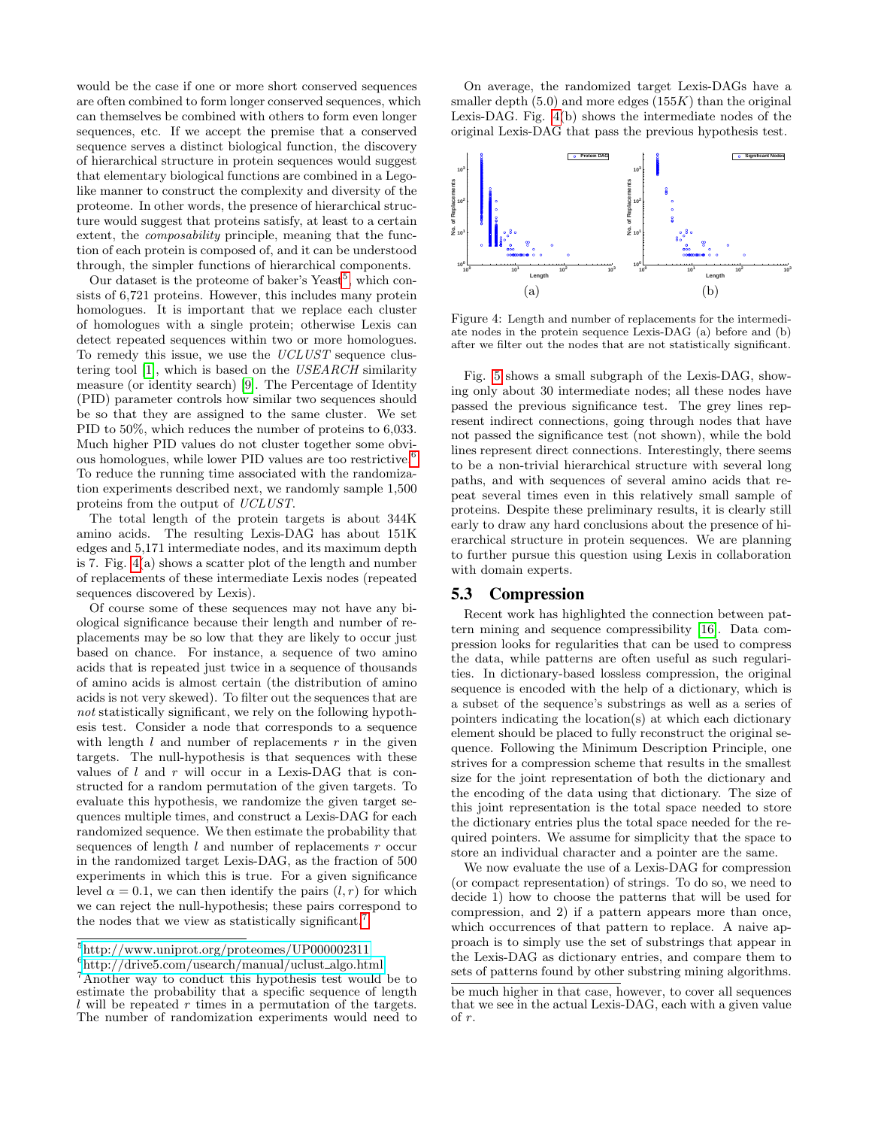would be the case if one or more short conserved sequences are often combined to form longer conserved sequences, which can themselves be combined with others to form even longer sequences, etc. If we accept the premise that a conserved sequence serves a distinct biological function, the discovery of hierarchical structure in protein sequences would suggest that elementary biological functions are combined in a Legolike manner to construct the complexity and diversity of the proteome. In other words, the presence of hierarchical structure would suggest that proteins satisfy, at least to a certain extent, the *composability* principle, meaning that the function of each protein is composed of, and it can be understood through, the simpler functions of hierarchical components.

Our dataset is the proteome of baker's Yeast<sup>[5](#page-5-0)</sup>, which consists of 6,721 proteins. However, this includes many protein homologues. It is important that we replace each cluster of homologues with a single protein; otherwise Lexis can detect repeated sequences within two or more homologues. To remedy this issue, we use the UCLUST sequence clustering tool [\[1\]](#page-8-16), which is based on the USEARCH similarity measure (or identity search) [\[9\]](#page-8-17). The Percentage of Identity (PID) parameter controls how similar two sequences should be so that they are assigned to the same cluster. We set PID to 50%, which reduces the number of proteins to 6,033. Much higher PID values do not cluster together some obvious homologues, while lower PID values are too restrictive.[6](#page-5-1) To reduce the running time associated with the randomization experiments described next, we randomly sample 1,500 proteins from the output of UCLUST.

The total length of the protein targets is about 344K amino acids. The resulting Lexis-DAG has about 151K edges and 5,171 intermediate nodes, and its maximum depth is 7. Fig. [4\(](#page-5-2)a) shows a scatter plot of the length and number of replacements of these intermediate Lexis nodes (repeated sequences discovered by Lexis).

Of course some of these sequences may not have any biological significance because their length and number of replacements may be so low that they are likely to occur just based on chance. For instance, a sequence of two amino acids that is repeated just twice in a sequence of thousands of amino acids is almost certain (the distribution of amino acids is not very skewed). To filter out the sequences that are not statistically significant, we rely on the following hypothesis test. Consider a node that corresponds to a sequence with length  $l$  and number of replacements  $r$  in the given targets. The null-hypothesis is that sequences with these values of  $l$  and  $r$  will occur in a Lexis-DAG that is constructed for a random permutation of the given targets. To evaluate this hypothesis, we randomize the given target sequences multiple times, and construct a Lexis-DAG for each randomized sequence. We then estimate the probability that sequences of length  $l$  and number of replacements  $r$  occur in the randomized target Lexis-DAG, as the fraction of 500 experiments in which this is true. For a given significance level  $\alpha = 0.1$ , we can then identify the pairs  $(l, r)$  for which we can reject the null-hypothesis; these pairs correspond to the nodes that we view as statistically significant.<sup>[7](#page-5-3)</sup>

On average, the randomized target Lexis-DAGs have a smaller depth  $(5.0)$  and more edges  $(155K)$  than the original Lexis-DAG. Fig. [4\(](#page-5-2)b) shows the intermediate nodes of the original Lexis-DAG that pass the previous hypothesis test.

<span id="page-5-2"></span>

Figure 4: Length and number of replacements for the intermediate nodes in the protein sequence Lexis-DAG (a) before and (b) after we filter out the nodes that are not statistically significant.

Fig. [5](#page-6-0) shows a small subgraph of the Lexis-DAG, showing only about 30 intermediate nodes; all these nodes have passed the previous significance test. The grey lines represent indirect connections, going through nodes that have not passed the significance test (not shown), while the bold lines represent direct connections. Interestingly, there seems to be a non-trivial hierarchical structure with several long paths, and with sequences of several amino acids that repeat several times even in this relatively small sample of proteins. Despite these preliminary results, it is clearly still early to draw any hard conclusions about the presence of hierarchical structure in protein sequences. We are planning to further pursue this question using Lexis in collaboration with domain experts.

#### 5.3 Compression

Recent work has highlighted the connection between pattern mining and sequence compressibility [\[16\]](#page-8-18). Data compression looks for regularities that can be used to compress the data, while patterns are often useful as such regularities. In dictionary-based lossless compression, the original sequence is encoded with the help of a dictionary, which is a subset of the sequence's substrings as well as a series of pointers indicating the location(s) at which each dictionary element should be placed to fully reconstruct the original sequence. Following the Minimum Description Principle, one strives for a compression scheme that results in the smallest size for the joint representation of both the dictionary and the encoding of the data using that dictionary. The size of this joint representation is the total space needed to store the dictionary entries plus the total space needed for the required pointers. We assume for simplicity that the space to store an individual character and a pointer are the same.

We now evaluate the use of a Lexis-DAG for compression (or compact representation) of strings. To do so, we need to decide 1) how to choose the patterns that will be used for compression, and 2) if a pattern appears more than once, which occurrences of that pattern to replace. A naive approach is to simply use the set of substrings that appear in the Lexis-DAG as dictionary entries, and compare them to sets of patterns found by other substring mining algorithms.

<span id="page-5-0"></span><sup>5</sup><http://www.uniprot.org/proteomes/UP000002311>

<span id="page-5-1"></span><sup>6</sup>[http://drive5.com/usearch/manual/uclust](http://drive5.com/usearch/manual/uclust_algo.html) algo.html

<span id="page-5-3"></span><sup>7</sup>Another way to conduct this hypothesis test would be to estimate the probability that a specific sequence of length  $l$  will be repeated  $r$  times in a permutation of the targets. The number of randomization experiments would need to

be much higher in that case, however, to cover all sequences that we see in the actual Lexis-DAG, each with a given value of r.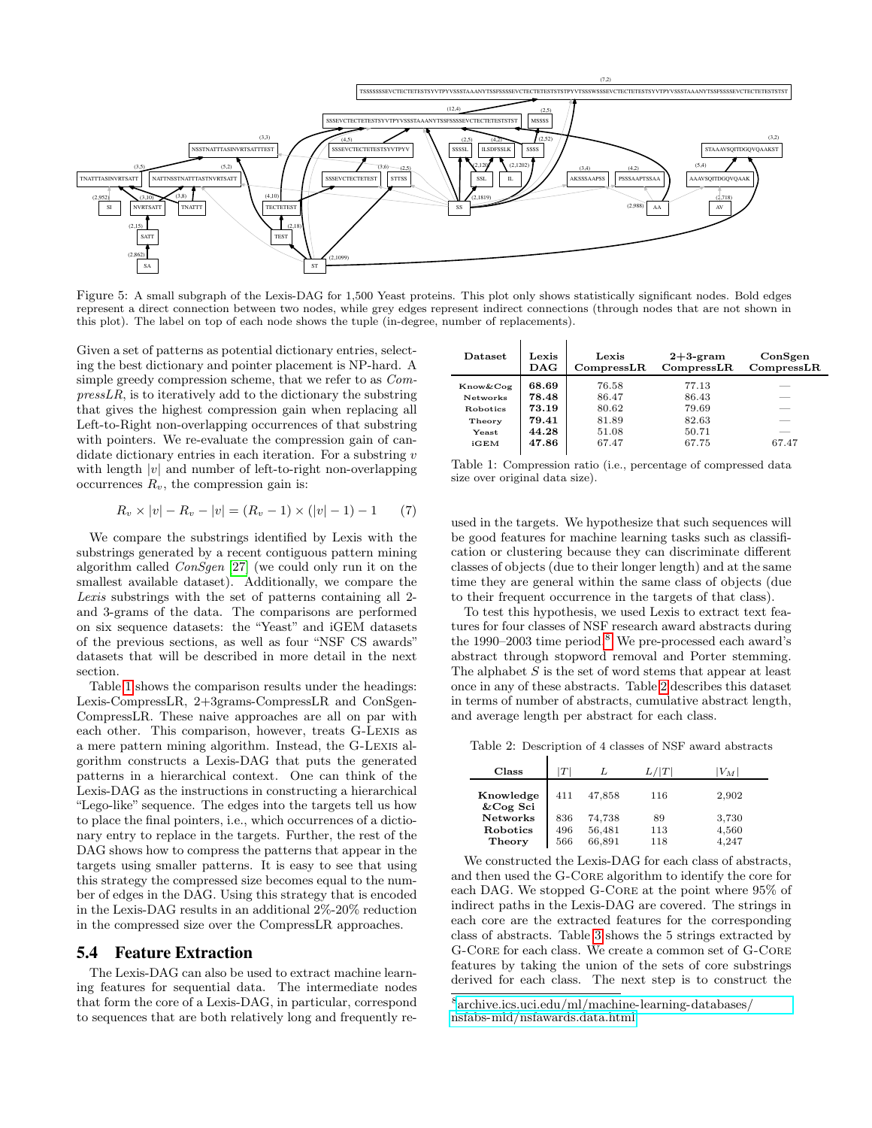<span id="page-6-0"></span>

Figure 5: A small subgraph of the Lexis-DAG for 1,500 Yeast proteins. This plot only shows statistically significant nodes. Bold edges represent a direct connection between two nodes, while grey edges represent indirect connections (through nodes that are not shown in this plot). The label on top of each node shows the tuple (in-degree, number of replacements).

Given a set of patterns as potential dictionary entries, selecting the best dictionary and pointer placement is NP-hard. A simple greedy compression scheme, that we refer to as Com $pressLR$ , is to iteratively add to the dictionary the substring that gives the highest compression gain when replacing all Left-to-Right non-overlapping occurrences of that substring with pointers. We re-evaluate the compression gain of candidate dictionary entries in each iteration. For a substring  $v$ with length  $|v|$  and number of left-to-right non-overlapping occurrences  $R_v$ , the compression gain is:

$$
R_v \times |v| - R_v - |v| = (R_v - 1) \times (|v| - 1) - 1 \tag{7}
$$

We compare the substrings identified by Lexis with the substrings generated by a recent contiguous pattern mining algorithm called ConSgen [\[27\]](#page-8-19) (we could only run it on the smallest available dataset). Additionally, we compare the Lexis substrings with the set of patterns containing all 2 and 3-grams of the data. The comparisons are performed on six sequence datasets: the "Yeast" and iGEM datasets of the previous sections, as well as four "NSF CS awards" datasets that will be described in more detail in the next section.

Table [1](#page-6-1) shows the comparison results under the headings: Lexis-CompressLR, 2+3grams-CompressLR and ConSgen-CompressLR. These naive approaches are all on par with each other. This comparison, however, treats G-Lexis as a mere pattern mining algorithm. Instead, the G-Lexis algorithm constructs a Lexis-DAG that puts the generated patterns in a hierarchical context. One can think of the Lexis-DAG as the instructions in constructing a hierarchical "Lego-like" sequence. The edges into the targets tell us how to place the final pointers, i.e., which occurrences of a dictionary entry to replace in the targets. Further, the rest of the DAG shows how to compress the patterns that appear in the targets using smaller patterns. It is easy to see that using this strategy the compressed size becomes equal to the number of edges in the DAG. Using this strategy that is encoded in the Lexis-DAG results in an additional 2%-20% reduction in the compressed size over the CompressLR approaches.

#### 5.4 Feature Extraction

The Lexis-DAG can also be used to extract machine learning features for sequential data. The intermediate nodes that form the core of a Lexis-DAG, in particular, correspond to sequences that are both relatively long and frequently re-

<span id="page-6-1"></span>

| Lexis<br>Lexis<br>ConSgen<br><b>Dataset</b><br>$2+3$ -gram<br>$\mathbf{DAG}$<br>CompressLR<br>CompressLR<br>CompressLR                                                                                                                                                      |  |
|-----------------------------------------------------------------------------------------------------------------------------------------------------------------------------------------------------------------------------------------------------------------------------|--|
| 68.69<br>76.58<br>77.13<br>Know&Cog<br>___<br>86.43<br>78.48<br>86.47<br><b>Networks</b><br>80.62<br>79.69<br>73.19<br><b>Robotics</b><br>____<br>82.63<br>81.89<br>79.41<br>Theory<br>51.08<br>44.28<br>50.71<br>Yeast.<br>___<br>47.86<br>67.47<br>67.75<br>67.47<br>iGEM |  |

Table 1: Compression ratio (i.e., percentage of compressed data size over original data size).

used in the targets. We hypothesize that such sequences will be good features for machine learning tasks such as classification or clustering because they can discriminate different classes of objects (due to their longer length) and at the same time they are general within the same class of objects (due to their frequent occurrence in the targets of that class).

To test this hypothesis, we used Lexis to extract text features for four classes of NSF research award abstracts during the 1990–2003 time period.<sup>[8](#page-6-2)</sup> We pre-processed each award's abstract through stopword removal and Porter stemming. The alphabet S is the set of word stems that appear at least once in any of these abstracts. Table [2](#page-6-3) describes this dataset in terms of number of abstracts, cumulative abstract length, and average length per abstract for each class.

<span id="page-6-3"></span>Table 2: Description of 4 classes of NSF award abstracts

| Class                             |     |        | / T | $V_M$ |
|-----------------------------------|-----|--------|-----|-------|
| Knowledge<br>$&\mathrm{Cog\ Sci}$ | 411 | 47.858 | 116 | 2,902 |
| <b>Networks</b>                   | 836 | 74,738 | 89  | 3,730 |
| Robotics                          | 496 | 56,481 | 113 | 4,560 |
| Theory                            | 566 | 66,891 | 118 | 4.247 |

We constructed the Lexis-DAG for each class of abstracts, and then used the G-Core algorithm to identify the core for each DAG. We stopped G-Core at the point where 95% of indirect paths in the Lexis-DAG are covered. The strings in each core are the extracted features for the corresponding class of abstracts. Table [3](#page-7-0) shows the 5 strings extracted by G-Core for each class. We create a common set of G-Core features by taking the union of the sets of core substrings derived for each class. The next step is to construct the

<span id="page-6-2"></span><sup>8</sup> [archive.ics.uci.edu/ml/machine-learning-databases/](archive.ics.uci.edu/ml/machine-learning-databases/nsfabs-mld/nsfawards.data.html) [nsfabs-mld/nsfawards.data.html](archive.ics.uci.edu/ml/machine-learning-databases/nsfabs-mld/nsfawards.data.html)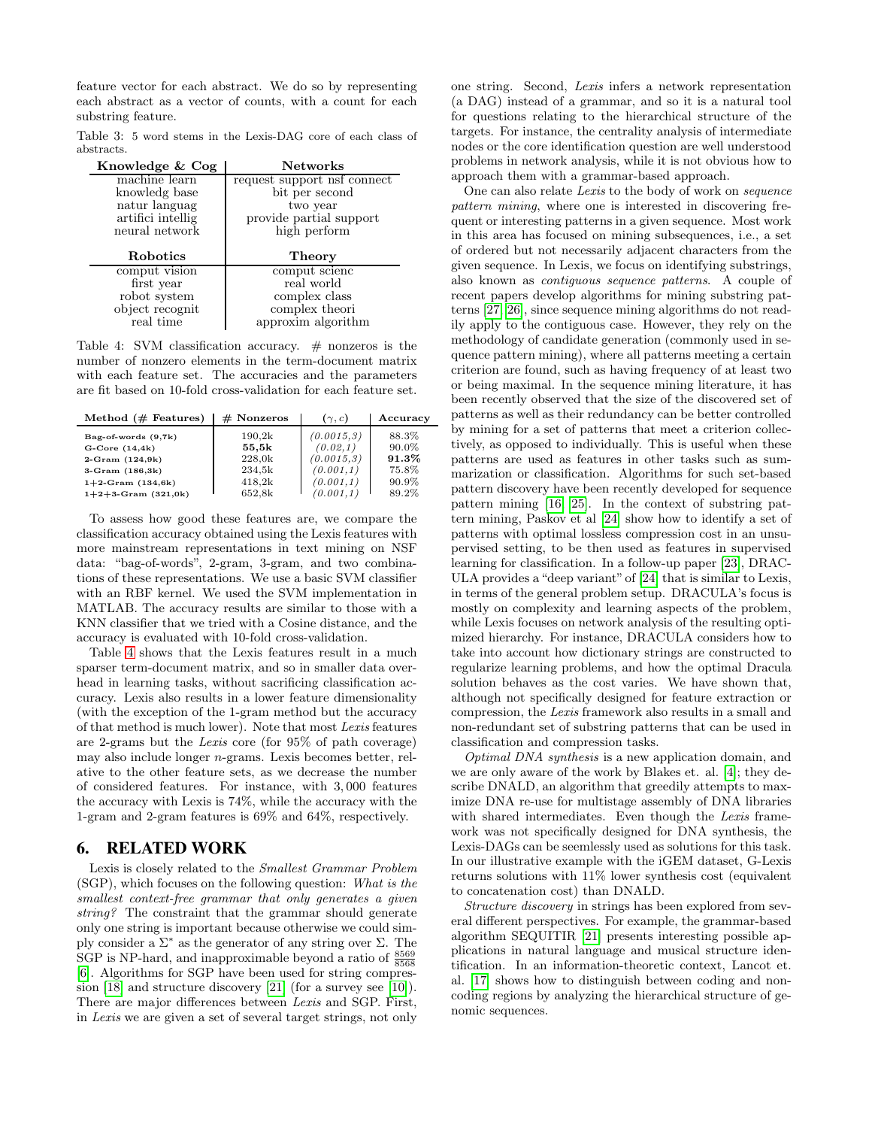feature vector for each abstract. We do so by representing each abstract as a vector of counts, with a count for each substring feature.

<span id="page-7-0"></span>Table 3: 5 word stems in the Lexis-DAG core of each class of abstracts.

| Knowledge & Cog              | <b>Networks</b>                      |
|------------------------------|--------------------------------------|
| machine learn                | request support nsf connect          |
| knowledg base                | bit per second                       |
| natur languag                | two year                             |
| artifici intellig            | provide partial support              |
| neural network               | high perform                         |
|                              |                                      |
| <b>Robotics</b>              | <b>Theory</b>                        |
| comput vision                | comput scienc                        |
| first year                   | real world                           |
| robot system                 | complex class                        |
| object recognit<br>real time | complex theori<br>approxim algorithm |

<span id="page-7-1"></span>Table 4: SVM classification accuracy.  $#$  nonzeros is the number of nonzero elements in the term-document matrix with each feature set. The accuracies and the parameters are fit based on 10-fold cross-validation for each feature set.

| Method $(\#$ Features)   | $#$ Nonzeros       | $(\gamma, c)$ | Accuracy |
|--------------------------|--------------------|---------------|----------|
| Bag-of-words (9,7k)      | 190.2 <sub>k</sub> | (0.0015, 3)   | 88.3%    |
| $G-Core(14,4k)$          | 55,5k              | (0.02, 1)     | 90.0%    |
| $2-Gram(124,9k)$         | 228.0k             | (0.0015, 3)   | 91.3%    |
| $3 - Gram (186, 3k)$     | 234.5k             | (0.001, 1)    | 75.8%    |
| $1+2$ -Gram $(134,6k)$   | 418.2k             | (0.001, 1)    | 90.9%    |
| $1+2+3$ -Gram $(321,0k)$ | 652.8k             | (0.001, 1)    | 89.2%    |
|                          |                    |               |          |

To assess how good these features are, we compare the classification accuracy obtained using the Lexis features with more mainstream representations in text mining on NSF data: "bag-of-words", 2-gram, 3-gram, and two combinations of these representations. We use a basic SVM classifier with an RBF kernel. We used the SVM implementation in MATLAB. The accuracy results are similar to those with a KNN classifier that we tried with a Cosine distance, and the accuracy is evaluated with 10-fold cross-validation.

Table [4](#page-7-1) shows that the Lexis features result in a much sparser term-document matrix, and so in smaller data overhead in learning tasks, without sacrificing classification accuracy. Lexis also results in a lower feature dimensionality (with the exception of the 1-gram method but the accuracy of that method is much lower). Note that most Lexis features are 2-grams but the Lexis core (for 95% of path coverage) may also include longer n-grams. Lexis becomes better, relative to the other feature sets, as we decrease the number of considered features. For instance, with 3, 000 features the accuracy with Lexis is 74%, while the accuracy with the 1-gram and 2-gram features is 69% and 64%, respectively.

#### 6. RELATED WORK

Lexis is closely related to the Smallest Grammar Problem (SGP), which focuses on the following question: What is the smallest context-free grammar that only generates a given string? The constraint that the grammar should generate only one string is important because otherwise we could simply consider a  $\Sigma^*$  as the generator of any string over  $\Sigma$ . The SGP is NP-hard, and inapproximable beyond a ratio of  $\frac{8569}{8568}$ [\[6\]](#page-8-8). Algorithms for SGP have been used for string compression [\[18\]](#page-8-20) and structure discovery [\[21\]](#page-8-1) (for a survey see [\[10\]](#page-8-11)). There are major differences between Lexis and SGP. First, in Lexis we are given a set of several target strings, not only

one string. Second, Lexis infers a network representation (a DAG) instead of a grammar, and so it is a natural tool for questions relating to the hierarchical structure of the targets. For instance, the centrality analysis of intermediate nodes or the core identification question are well understood problems in network analysis, while it is not obvious how to approach them with a grammar-based approach.

One can also relate Lexis to the body of work on sequence pattern mining, where one is interested in discovering frequent or interesting patterns in a given sequence. Most work in this area has focused on mining subsequences, i.e., a set of ordered but not necessarily adjacent characters from the given sequence. In Lexis, we focus on identifying substrings, also known as contiguous sequence patterns. A couple of recent papers develop algorithms for mining substring patterns [\[27,](#page-8-19) [26\]](#page-8-21), since sequence mining algorithms do not readily apply to the contiguous case. However, they rely on the methodology of candidate generation (commonly used in sequence pattern mining), where all patterns meeting a certain criterion are found, such as having frequency of at least two or being maximal. In the sequence mining literature, it has been recently observed that the size of the discovered set of patterns as well as their redundancy can be better controlled by mining for a set of patterns that meet a criterion collectively, as opposed to individually. This is useful when these patterns are used as features in other tasks such as summarization or classification. Algorithms for such set-based pattern discovery have been recently developed for sequence pattern mining [\[16,](#page-8-18) [25\]](#page-8-22). In the context of substring pattern mining, Paskov et al [\[24\]](#page-8-23) show how to identify a set of patterns with optimal lossless compression cost in an unsupervised setting, to be then used as features in supervised learning for classification. In a follow-up paper [\[23\]](#page-8-24), DRAC-ULA provides a "deep variant" of [\[24\]](#page-8-23) that is similar to Lexis, in terms of the general problem setup. DRACULA's focus is mostly on complexity and learning aspects of the problem, while Lexis focuses on network analysis of the resulting optimized hierarchy. For instance, DRACULA considers how to take into account how dictionary strings are constructed to regularize learning problems, and how the optimal Dracula solution behaves as the cost varies. We have shown that, although not specifically designed for feature extraction or compression, the Lexis framework also results in a small and non-redundant set of substring patterns that can be used in classification and compression tasks.

Optimal DNA synthesis is a new application domain, and we are only aware of the work by Blakes et. al. [\[4\]](#page-8-6); they describe DNALD, an algorithm that greedily attempts to maximize DNA re-use for multistage assembly of DNA libraries with shared intermediates. Even though the Lexis framework was not specifically designed for DNA synthesis, the Lexis-DAGs can be seemlessly used as solutions for this task. In our illustrative example with the iGEM dataset, G-Lexis returns solutions with 11% lower synthesis cost (equivalent to concatenation cost) than DNALD.

Structure discovery in strings has been explored from several different perspectives. For example, the grammar-based algorithm SEQUITIR [\[21\]](#page-8-1) presents interesting possible applications in natural language and musical structure identification. In an information-theoretic context, Lancot et. al. [\[17\]](#page-8-25) shows how to distinguish between coding and noncoding regions by analyzing the hierarchical structure of genomic sequences.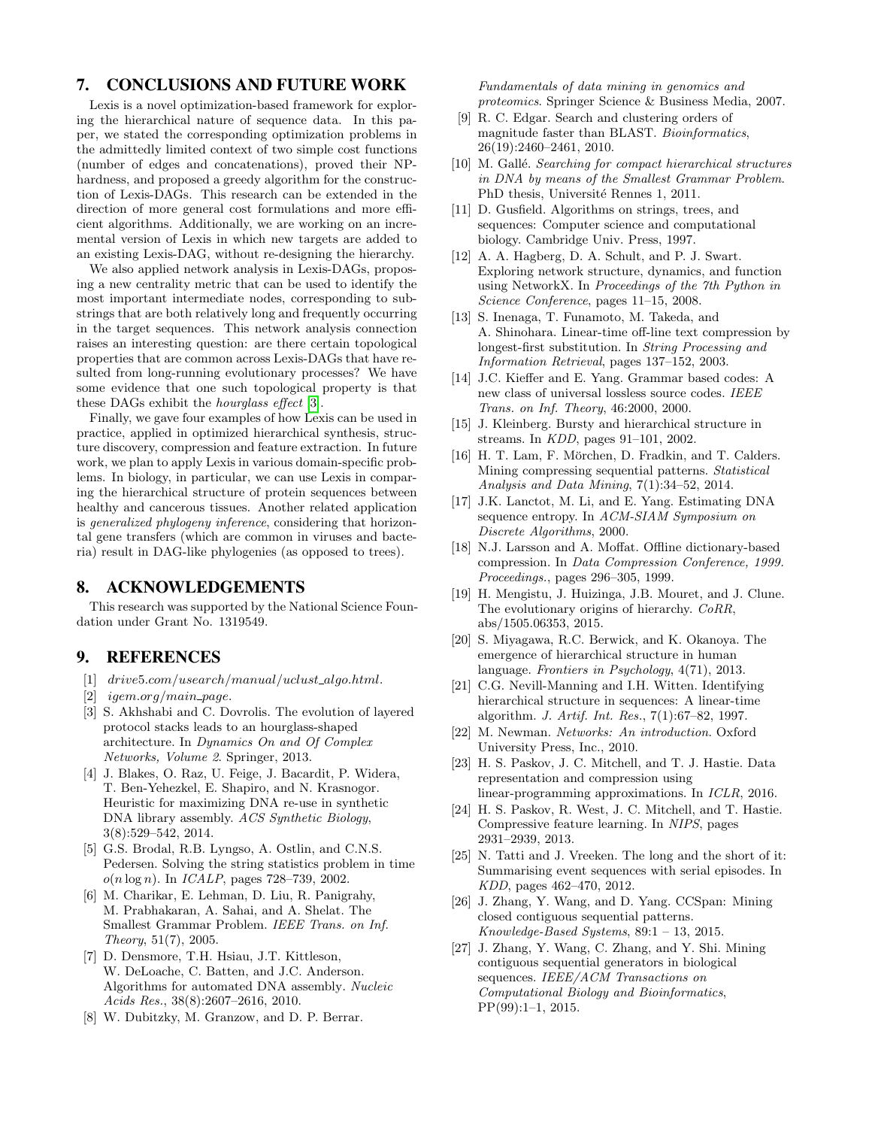## 7. CONCLUSIONS AND FUTURE WORK

Lexis is a novel optimization-based framework for exploring the hierarchical nature of sequence data. In this paper, we stated the corresponding optimization problems in the admittedly limited context of two simple cost functions (number of edges and concatenations), proved their NPhardness, and proposed a greedy algorithm for the construction of Lexis-DAGs. This research can be extended in the direction of more general cost formulations and more efficient algorithms. Additionally, we are working on an incremental version of Lexis in which new targets are added to an existing Lexis-DAG, without re-designing the hierarchy.

We also applied network analysis in Lexis-DAGs, proposing a new centrality metric that can be used to identify the most important intermediate nodes, corresponding to substrings that are both relatively long and frequently occurring in the target sequences. This network analysis connection raises an interesting question: are there certain topological properties that are common across Lexis-DAGs that have resulted from long-running evolutionary processes? We have some evidence that one such topological property is that these DAGs exhibit the hourglass effect [\[3\]](#page-8-26).

Finally, we gave four examples of how Lexis can be used in practice, applied in optimized hierarchical synthesis, structure discovery, compression and feature extraction. In future work, we plan to apply Lexis in various domain-specific problems. In biology, in particular, we can use Lexis in comparing the hierarchical structure of protein sequences between healthy and cancerous tissues. Another related application is generalized phylogeny inference, considering that horizontal gene transfers (which are common in viruses and bacteria) result in DAG-like phylogenies (as opposed to trees).

## 8. ACKNOWLEDGEMENTS

This research was supported by the National Science Foundation under Grant No. 1319549.

## 9. REFERENCES

- <span id="page-8-16"></span>[1] drive5.com/usearch/manual/uclust\_algo.html.
- <span id="page-8-15"></span>[2] igem.org/main page.
- <span id="page-8-26"></span>[3] S. Akhshabi and C. Dovrolis. The evolution of layered protocol stacks leads to an hourglass-shaped architecture. In Dynamics On and Of Complex Networks, Volume 2. Springer, 2013.
- <span id="page-8-6"></span>[4] J. Blakes, O. Raz, U. Feige, J. Bacardit, P. Widera, T. Ben-Yehezkel, E. Shapiro, and N. Krasnogor. Heuristic for maximizing DNA re-use in synthetic DNA library assembly. ACS Synthetic Biology, 3(8):529–542, 2014.
- <span id="page-8-10"></span>[5] G.S. Brodal, R.B. Lyngso, A. Ostlin, and C.N.S. Pedersen. Solving the string statistics problem in time  $o(n \log n)$ . In *ICALP*, pages 728–739, 2002.
- <span id="page-8-8"></span>[6] M. Charikar, E. Lehman, D. Liu, R. Panigrahy, M. Prabhakaran, A. Sahai, and A. Shelat. The Smallest Grammar Problem. IEEE Trans. on Inf. Theory, 51(7), 2005.
- <span id="page-8-7"></span>[7] D. Densmore, T.H. Hsiau, J.T. Kittleson, W. DeLoache, C. Batten, and J.C. Anderson. Algorithms for automated DNA assembly. Nucleic Acids Res., 38(8):2607–2616, 2010.
- <span id="page-8-5"></span>[8] W. Dubitzky, M. Granzow, and D. P. Berrar.

Fundamentals of data mining in genomics and proteomics. Springer Science & Business Media, 2007.

- <span id="page-8-17"></span>[9] R. C. Edgar. Search and clustering orders of magnitude faster than BLAST. Bioinformatics, 26(19):2460–2461, 2010.
- <span id="page-8-11"></span>[10] M. Gallé. Searching for compact hierarchical structures in DNA by means of the Smallest Grammar Problem. PhD thesis, Université Rennes 1, 2011.
- <span id="page-8-0"></span>[11] D. Gusfield. Algorithms on strings, trees, and sequences: Computer science and computational biology. Cambridge Univ. Press, 1997.
- <span id="page-8-14"></span>[12] A. A. Hagberg, D. A. Schult, and P. J. Swart. Exploring network structure, dynamics, and function using NetworkX. In Proceedings of the 7th Python in Science Conference, pages 11–15, 2008.
- <span id="page-8-12"></span>[13] S. Inenaga, T. Funamoto, M. Takeda, and A. Shinohara. Linear-time off-line text compression by longest-first substitution. In String Processing and Information Retrieval, pages 137–152, 2003.
- <span id="page-8-9"></span>[14] J.C. Kieffer and E. Yang. Grammar based codes: A new class of universal lossless source codes. IEEE Trans. on Inf. Theory, 46:2000, 2000.
- <span id="page-8-2"></span>[15] J. Kleinberg. Bursty and hierarchical structure in streams. In KDD, pages 91–101, 2002.
- <span id="page-8-18"></span>[16] H. T. Lam, F. Mörchen, D. Fradkin, and T. Calders. Mining compressing sequential patterns. Statistical Analysis and Data Mining, 7(1):34–52, 2014.
- <span id="page-8-25"></span>[17] J.K. Lanctot, M. Li, and E. Yang. Estimating DNA sequence entropy. In ACM-SIAM Symposium on Discrete Algorithms, 2000.
- <span id="page-8-20"></span>[18] N.J. Larsson and A. Moffat. Offline dictionary-based compression. In Data Compression Conference, 1999. Proceedings., pages 296–305, 1999.
- <span id="page-8-3"></span>[19] H. Mengistu, J. Huizinga, J.B. Mouret, and J. Clune. The evolutionary origins of hierarchy. CoRR, abs/1505.06353, 2015.
- <span id="page-8-4"></span>[20] S. Miyagawa, R.C. Berwick, and K. Okanoya. The emergence of hierarchical structure in human language. Frontiers in Psychology, 4(71), 2013.
- <span id="page-8-1"></span>[21] C.G. Nevill-Manning and I.H. Witten. Identifying hierarchical structure in sequences: A linear-time algorithm. J. Artif. Int. Res., 7(1):67–82, 1997.
- <span id="page-8-13"></span>[22] M. Newman. Networks: An introduction. Oxford University Press, Inc., 2010.
- <span id="page-8-24"></span>[23] H. S. Paskov, J. C. Mitchell, and T. J. Hastie. Data representation and compression using linear-programming approximations. In ICLR, 2016.
- <span id="page-8-23"></span>[24] H. S. Paskov, R. West, J. C. Mitchell, and T. Hastie. Compressive feature learning. In NIPS, pages 2931–2939, 2013.
- <span id="page-8-22"></span>[25] N. Tatti and J. Vreeken. The long and the short of it: Summarising event sequences with serial episodes. In KDD, pages 462–470, 2012.
- <span id="page-8-21"></span>[26] J. Zhang, Y. Wang, and D. Yang. CCSpan: Mining closed contiguous sequential patterns. Knowledge-Based Systems, 89:1 – 13, 2015.
- <span id="page-8-19"></span>[27] J. Zhang, Y. Wang, C. Zhang, and Y. Shi. Mining contiguous sequential generators in biological sequences. IEEE/ACM Transactions on Computational Biology and Bioinformatics, PP(99):1–1, 2015.